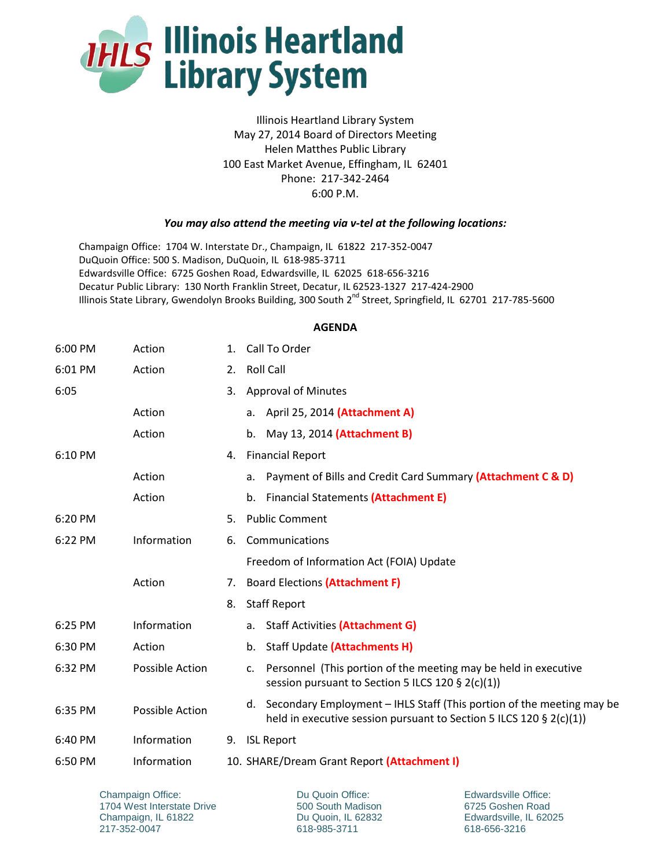

Illinois Heartland Library System May 27, 2014 Board of Directors Meeting Helen Matthes Public Library 100 East Market Avenue, Effingham, IL 62401 Phone: 217-342-2464 6:00 P.M.

## *You may also attend the meeting via v-tel at the following locations:*

Champaign Office: 1704 W. Interstate Dr., Champaign, IL 61822 217-352-0047 DuQuoin Office: 500 S. Madison, DuQuoin, IL 618-985-3711 Edwardsville Office: 6725 Goshen Road, Edwardsville, IL 62025 618-656-3216 Decatur Public Library: 130 North Franklin Street, Decatur, IL 62523-1327 217-424-2900 Illinois State Library, Gwendolyn Brooks Building, 300 South 2<sup>nd</sup> Street, Springfield, IL 62701 217-785-5600

## **AGENDA**

| 6:00 PM | Action          | 1. | Call To Order                                                                                                                                         |  |
|---------|-----------------|----|-------------------------------------------------------------------------------------------------------------------------------------------------------|--|
| 6:01 PM | Action          | 2. | <b>Roll Call</b>                                                                                                                                      |  |
| 6:05    |                 | 3. | <b>Approval of Minutes</b>                                                                                                                            |  |
|         | Action          |    | a. April 25, 2014 (Attachment A)                                                                                                                      |  |
|         | Action          |    | b. May 13, 2014 (Attachment B)                                                                                                                        |  |
| 6:10 PM |                 | 4. | <b>Financial Report</b>                                                                                                                               |  |
|         | Action          |    | Payment of Bills and Credit Card Summary (Attachment C & D)<br>a.                                                                                     |  |
|         | Action          |    | b. Financial Statements (Attachment E)                                                                                                                |  |
| 6:20 PM |                 | 5. | <b>Public Comment</b>                                                                                                                                 |  |
| 6:22 PM | Information     | 6. | Communications                                                                                                                                        |  |
|         |                 |    | Freedom of Information Act (FOIA) Update<br>7. Board Elections (Attachment F)                                                                         |  |
|         | Action          |    |                                                                                                                                                       |  |
|         |                 | 8. | <b>Staff Report</b>                                                                                                                                   |  |
| 6:25 PM | Information     |    | a. Staff Activities (Attachment G)                                                                                                                    |  |
| 6:30 PM | Action          |    | <b>Staff Update (Attachments H)</b><br>b.                                                                                                             |  |
| 6:32 PM | Possible Action |    | Personnel (This portion of the meeting may be held in executive<br>c.<br>session pursuant to Section 5 ILCS 120 § 2(c)(1))                            |  |
| 6:35 PM | Possible Action |    | Secondary Employment - IHLS Staff (This portion of the meeting may be<br>d.<br>held in executive session pursuant to Section 5 ILCS 120 $\S$ 2(c)(1)) |  |
| 6:40 PM | Information     | 9. | <b>ISL Report</b>                                                                                                                                     |  |
| 6:50 PM | Information     |    | 10. SHARE/Dream Grant Report (Attachment I)                                                                                                           |  |

Champaign Office: 1704 West Interstate Drive Champaign, IL 61822 217-352-0047

Du Quoin Office: 500 South Madison Du Quoin, IL 62832 618-985-3711

Edwardsville Office: 6725 Goshen Road Edwardsville, IL 62025 618-656-3216